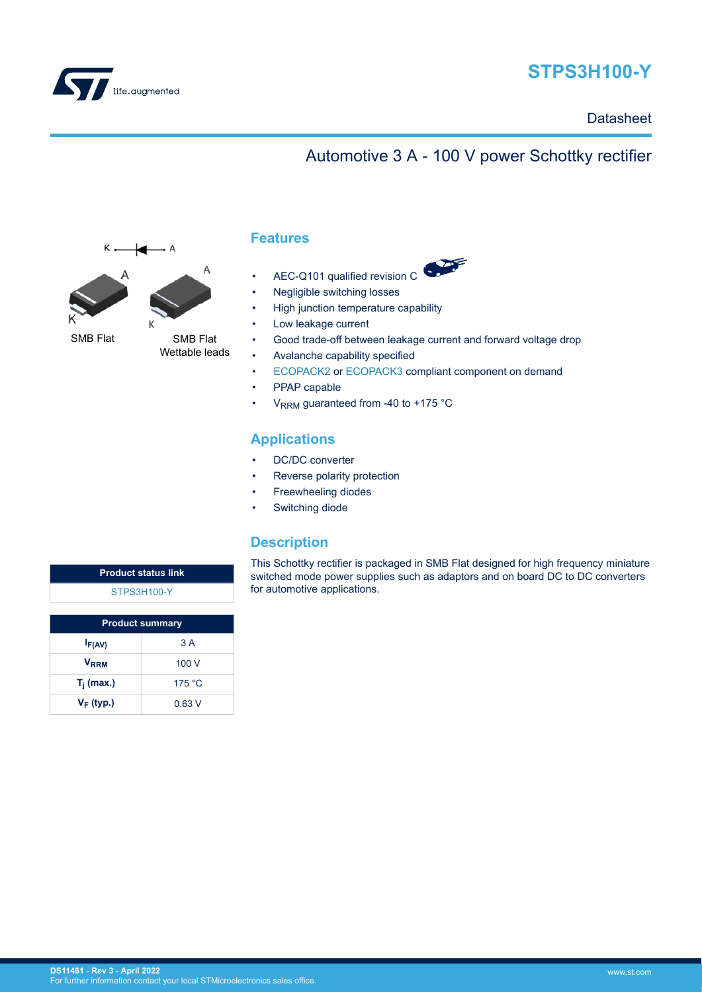

# **STPS3H100-Y**

### **Datasheet**

# Automotive 3 A - 100 V power Schottky rectifier



### **Features**

- AEC-Q101 qualified revision C
- Negligible switching losses
- High junction temperature capability
- Low leakage current
- Good trade-off between leakage current and forward voltage drop
- Avalanche capability specified
- [ECOPACK2](https://www.st.com/content/st_com/en/about/quality-and-reliability/product-environmental-compliance.html) or [ECOPACK3](https://www.st.com/content/st_com/en/about/quality-and-reliability/product-environmental-compliance.html) compliant component on demand
- PPAP capable
- V<sub>RRM</sub> guaranteed from -40 to +175  $^{\circ}$ C

### **Applications**

- DC/DC converter
- Reverse polarity protection
- Freewheeling diodes
- Switching diode

### **Description**

This Schottky rectifier is packaged in SMB Flat designed for high frequency miniature switched mode power supplies such as adaptors and on board DC to DC converters for automotive applications.

**Product status link** [STPS3H100-Y](https://www.st.com/en/product/stps3h100y?ecmp=tt9470_gl_link_feb2019&rt=ds&id=DS11461)

| <b>Product summary</b>  |        |  |
|-------------------------|--------|--|
| $I_{F(AV)}$             | 3 A    |  |
| <b>V</b> <sub>RRM</sub> | 100 V  |  |
| $T_i$ (max.)            | 175 °C |  |
| $V_F$ (typ.)            | 0.63V  |  |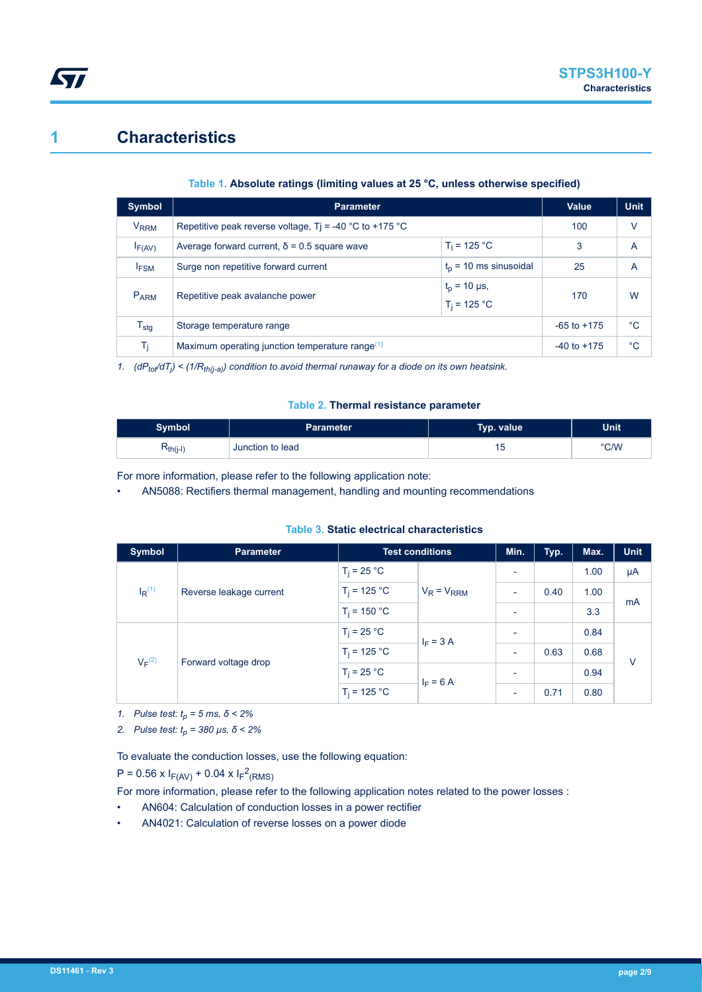## **1 Characteristics**

*Lyt* 

### **Table 1. Absolute ratings (limiting values at 25 °C, unless otherwise specified)**

| Symbol                 | <b>Parameter</b>                                        | Value           | <b>Unit</b> |    |
|------------------------|---------------------------------------------------------|-----------------|-------------|----|
| <b>V<sub>RRM</sub></b> | Repetitive peak reverse voltage, Tj = -40 °C to +175 °C | 100             | v           |    |
| $I_{F(AV)}$            | Average forward current, $\delta$ = 0.5 square wave     | 3               | A           |    |
| <b>IFSM</b>            | Surge non repetitive forward current                    | 25              | Α           |    |
| P <sub>ARM</sub>       | Repetitive peak avalanche power                         | 170             | W           |    |
| $T_{\sf stg}$          | Storage temperature range                               | $-65$ to $+175$ | $^{\circ}C$ |    |
| T <sub>i</sub>         | Maximum operating junction temperature range $(1)$      |                 |             | °C |

*1. (dPtot/dT<sup>j</sup> ) < (1/Rth(j-a)) condition to avoid thermal runaway for a diode on its own heatsink.*

#### **Table 2. Thermal resistance parameter**

| Symbol        | Parameter        | Typ. value | <b>Unit</b> |
|---------------|------------------|------------|-------------|
| $R_{th(j-l)}$ | Junction to lead | 15         | °C/W        |

For more information, please refer to the following application note:

• AN5088: Rectifiers thermal management, handling and mounting recommendations

#### **Table 3. Static electrical characteristics**

| <b>Symbol</b>        | <b>Parameter</b>        | <b>Test conditions</b> | Min.                       | Typ.                     | Max. | <b>Unit</b> |        |
|----------------------|-------------------------|------------------------|----------------------------|--------------------------|------|-------------|--------|
|                      |                         | $T_i = 25 °C$          | $V_R = V_{RRM}$            | $\overline{\phantom{a}}$ |      | 1.00        | μA     |
| $I_R$ <sup>(1)</sup> | Reverse leakage current | $T_i = 125 °C$         |                            | ÷                        | 0.40 | 1.00        | mA     |
|                      |                         | $T_i = 150 °C$         |                            | $\overline{\phantom{a}}$ |      | 3.3         |        |
| $V_F^{(2)}$          | Forward voltage drop    | $T_i = 25 °C$          | $I_F = 3 A$<br>$I_F = 6 A$ | ٠                        |      | 0.84        | $\vee$ |
|                      |                         | $T_i = 125 °C$         |                            | $\overline{\phantom{a}}$ | 0.63 | 0.68        |        |
|                      |                         | $T_i = 25 °C$          |                            | ٠                        |      | 0.94        |        |
|                      |                         | $T_i = 125 °C$         |                            | $\overline{\phantom{a}}$ | 0.71 | 0.80        |        |

*1. Pulse test: tp = 5 ms, δ < 2%*

*2. Pulse test: tp = 380 µs, δ < 2%*

To evaluate the conduction losses, use the following equation:

 $P = 0.56 \times I_{F(AV)} + 0.04 \times I_{F}^{2}(RMS)$ 

For more information, please refer to the following application notes related to the power losses :

- AN604: Calculation of conduction losses in a power rectifier
- AN4021: Calculation of reverse losses on a power diode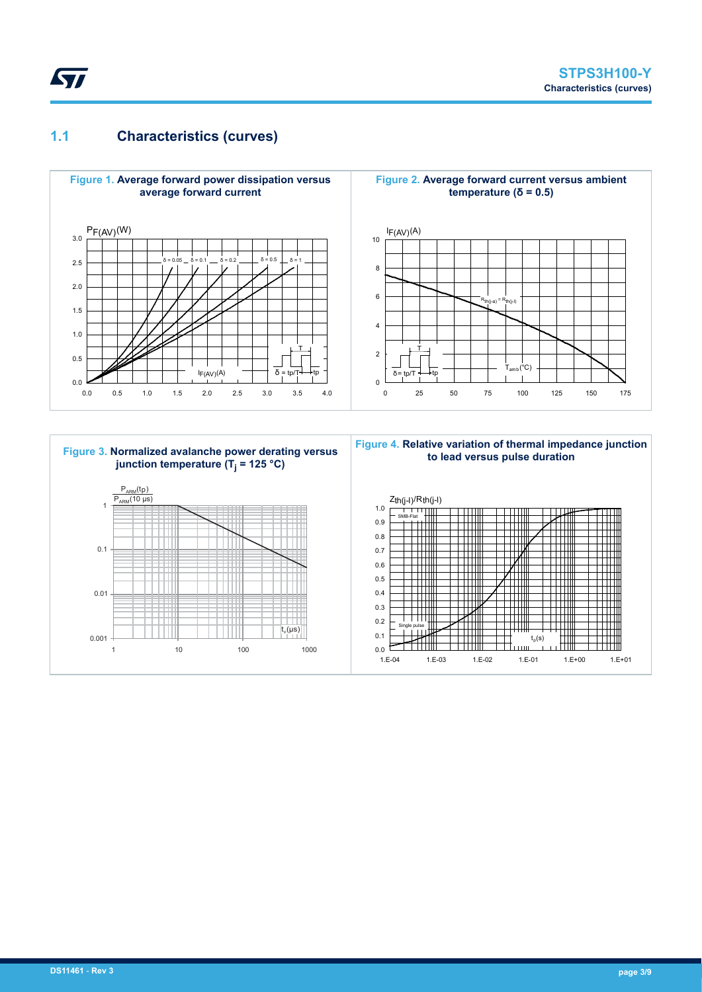## <span id="page-2-0"></span>**1.1 Characteristics (curves)**



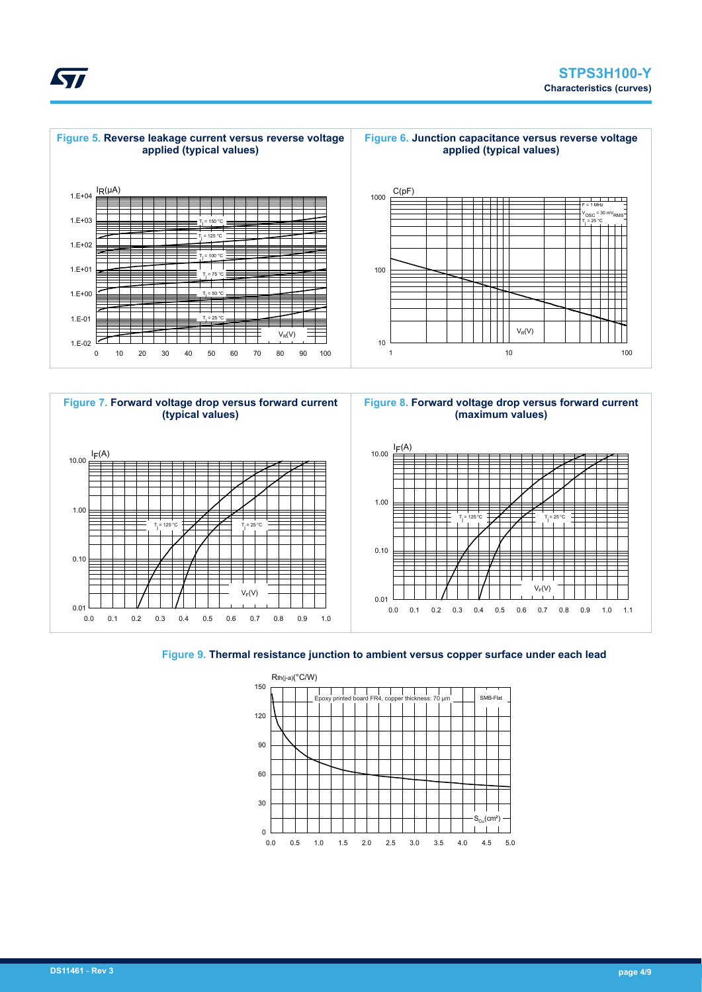





**Figure 8. Forward voltage drop versus forward current (maximum values)**



#### **Figure 9. Thermal resistance junction to ambient versus copper surface under each lead**



<span id="page-3-0"></span>**Kyr**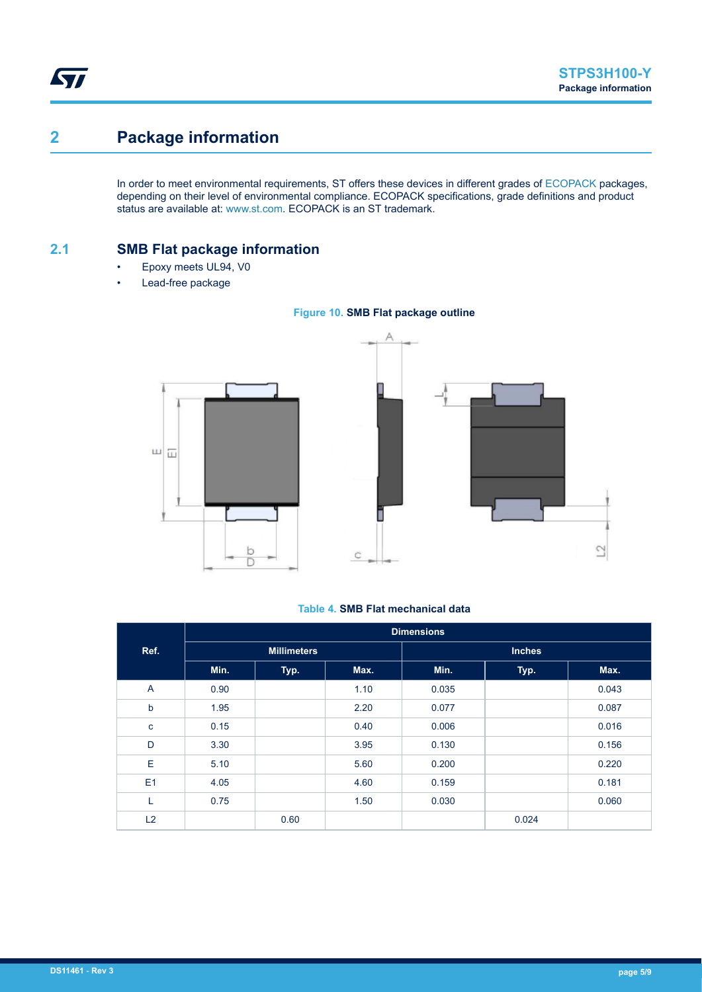$\overline{C}$ 

# **2 Package information**

In order to meet environmental requirements, ST offers these devices in different grades of [ECOPACK](https://www.st.com/ecopack) packages, depending on their level of environmental compliance. ECOPACK specifications, grade definitions and product status are available at: [www.st.com.](http://www.st.com) ECOPACK is an ST trademark.

### **2.1 SMB Flat package information**

- Epoxy meets UL94, V0
- Lead-free package





#### **Table 4. SMB Flat mechanical data**

|             | <b>Dimensions</b> |                    |      |       |               |       |
|-------------|-------------------|--------------------|------|-------|---------------|-------|
| Ref.        |                   | <b>Millimeters</b> |      |       | <b>Inches</b> |       |
|             | Min.              | Typ.               | Max. | Min.  | Typ.          | Max.  |
| A           | 0.90              |                    | 1.10 | 0.035 |               | 0.043 |
| $\mathbf b$ | 1.95              |                    | 2.20 | 0.077 |               | 0.087 |
| $\mathbf c$ | 0.15              |                    | 0.40 | 0.006 |               | 0.016 |
| D           | 3.30              |                    | 3.95 | 0.130 |               | 0.156 |
| E           | 5.10              |                    | 5.60 | 0.200 |               | 0.220 |
| E1          | 4.05              |                    | 4.60 | 0.159 |               | 0.181 |
| ┕           | 0.75              |                    | 1.50 | 0.030 |               | 0.060 |
| L2          |                   | 0.60               |      |       | 0.024         |       |

<span id="page-4-0"></span>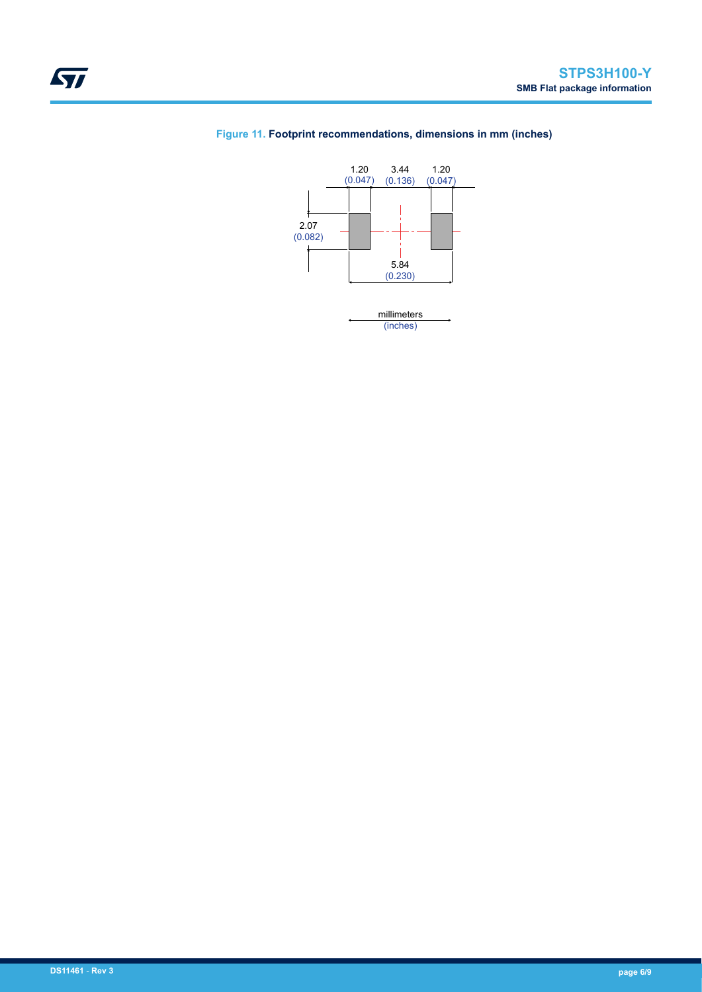

### **Figure 11. Footprint recommendations, dimensions in mm (inches)**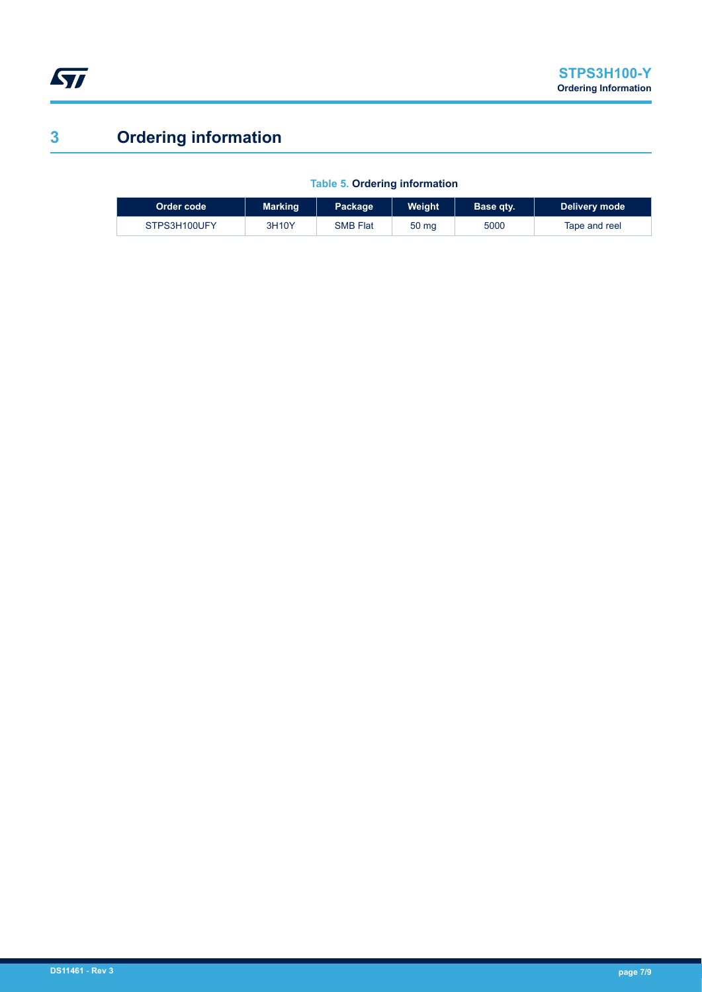<span id="page-6-0"></span>

# **3 Ordering information**

|  | <b>Table 5. Ordering information</b> |
|--|--------------------------------------|

| Order code   | <b>Marking</b> | Package,        | Weiaht | <b>Base gty.</b> | Delivery mode |
|--------------|----------------|-----------------|--------|------------------|---------------|
| STPS3H100UFY | 3H10Y          | <b>SMB Flat</b> | 50 mg  | 5000             | Tape and reel |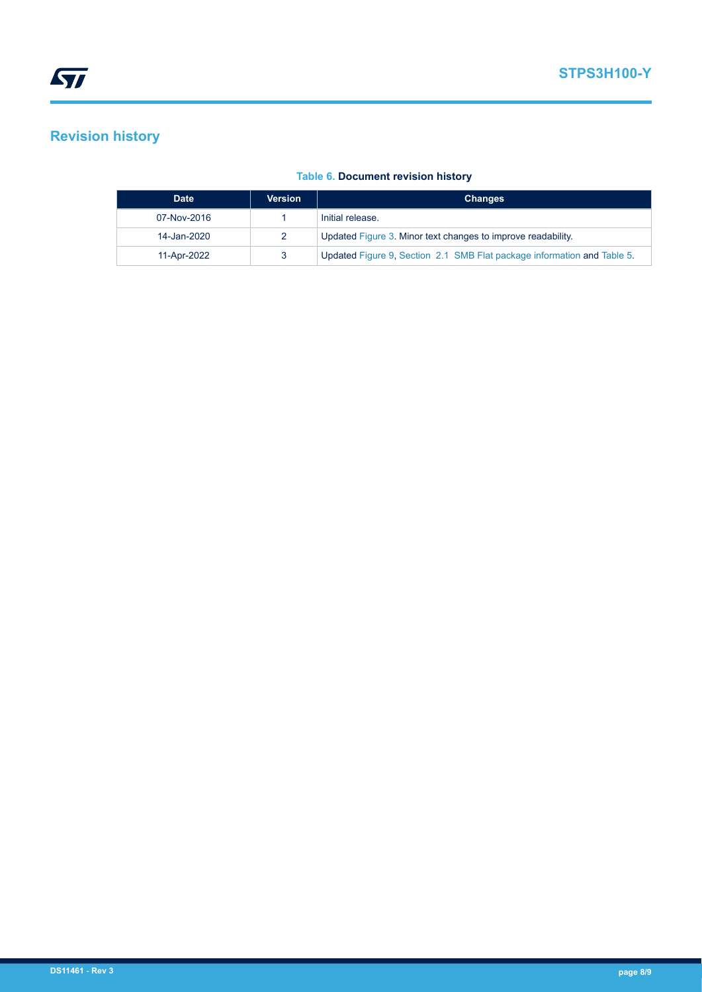# **Revision history**

| <b>Date</b> | <b>Version</b> | <b>Changes</b>                                                          |
|-------------|----------------|-------------------------------------------------------------------------|
| 07-Nov-2016 |                | Initial release.                                                        |
| 14-Jan-2020 |                | Updated Figure 3. Minor text changes to improve readability.            |
| 11-Apr-2022 |                | Updated Figure 9, Section 2.1 SMB Flat package information and Table 5. |

### **Table 6. Document revision history**